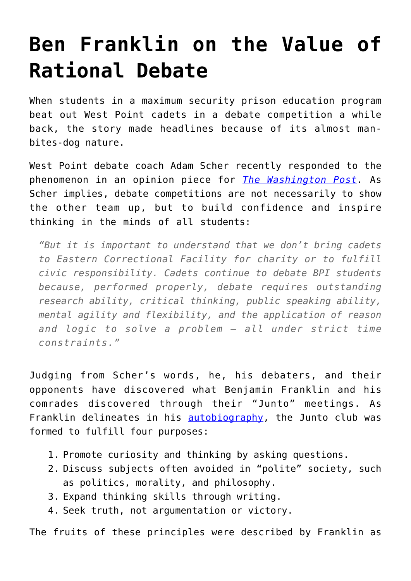## **[Ben Franklin on the Value of](https://intellectualtakeout.org/2016/05/ben-franklin-on-the-value-of-rational-debate/) [Rational Debate](https://intellectualtakeout.org/2016/05/ben-franklin-on-the-value-of-rational-debate/)**

When students in a maximum security prison education program beat out West Point cadets in a debate competition a while back, the story made headlines because of its almost manbites-dog nature.

West Point debate coach Adam Scher recently responded to the phenomenon in an opinion piece for *[The Washington Post.](https://www.washingtonpost.com/news/checkpoint/wp/2016/05/04/i-coached-the-west-point-debate-team-that-lost-to-prison-students-what-we-learned-was-invaluable/)* As Scher implies, debate competitions are not necessarily to show the other team up, but to build confidence and inspire thinking in the minds of all students:

*"But it is important to understand that we don't bring cadets to Eastern Correctional Facility for charity or to fulfill civic responsibility. Cadets continue to debate BPI students because, performed properly, debate requires outstanding research ability, critical thinking, public speaking ability, mental agility and flexibility, and the application of reason and logic to solve a problem — all under strict time constraints."*

Judging from Scher's words, he, his debaters, and their opponents have discovered what Benjamin Franklin and his comrades discovered through their "Junto" meetings. As Franklin delineates in his **autobiography**, the Junto club was formed to fulfill four purposes:

- 1. Promote curiosity and thinking by asking questions.
- 2. Discuss subjects often avoided in "polite" society, such as politics, morality, and philosophy.
- 3. Expand thinking skills through writing.
- 4. Seek truth, not argumentation or victory.

The fruits of these principles were described by Franklin as